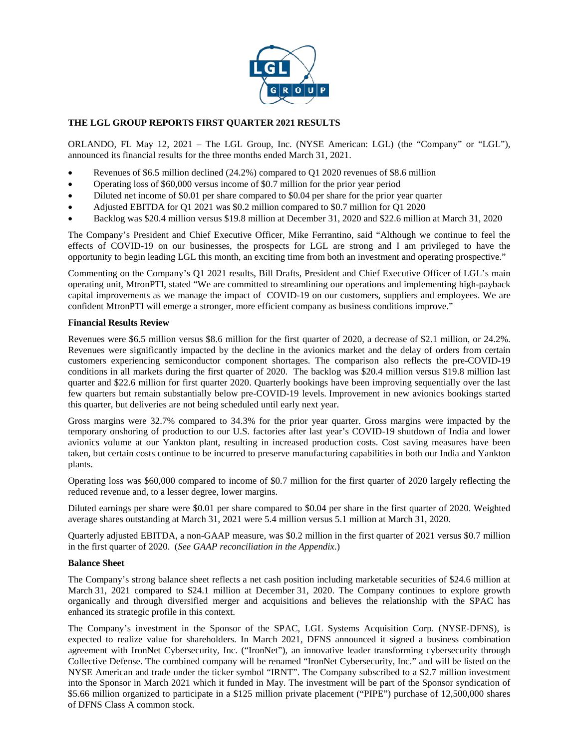

# **THE LGL GROUP REPORTS FIRST QUARTER 2021 RESULTS**

ORLANDO, FL May 12, 2021 – The LGL Group, Inc. (NYSE American: LGL) (the "Company" or "LGL"), announced its financial results for the three months ended March 31, 2021.

- Revenues of \$6.5 million declined (24.2%) compared to Q1 2020 revenues of \$8.6 million
- Operating loss of \$60,000 versus income of \$0.7 million for the prior year period
- Diluted net income of \$0.01 per share compared to \$0.04 per share for the prior year quarter
- Adjusted EBITDA for Q1 2021 was \$0.2 million compared to \$0.7 million for Q1 2020
- Backlog was \$20.4 million versus \$19.8 million at December 31, 2020 and \$22.6 million at March 31, 2020

The Company's President and Chief Executive Officer, Mike Ferrantino, said "Although we continue to feel the effects of COVID-19 on our businesses, the prospects for LGL are strong and I am privileged to have the opportunity to begin leading LGL this month, an exciting time from both an investment and operating prospective."

Commenting on the Company's Q1 2021 results, Bill Drafts, President and Chief Executive Officer of LGL's main operating unit, MtronPTI, stated "We are committed to streamlining our operations and implementing high-payback capital improvements as we manage the impact of COVID-19 on our customers, suppliers and employees. We are confident MtronPTI will emerge a stronger, more efficient company as business conditions improve."

### **Financial Results Review**

Revenues were \$6.5 million versus \$8.6 million for the first quarter of 2020, a decrease of \$2.1 million, or 24.2%. Revenues were significantly impacted by the decline in the avionics market and the delay of orders from certain customers experiencing semiconductor component shortages. The comparison also reflects the pre-COVID-19 conditions in all markets during the first quarter of 2020. The backlog was \$20.4 million versus \$19.8 million last quarter and \$22.6 million for first quarter 2020. Quarterly bookings have been improving sequentially over the last few quarters but remain substantially below pre-COVID-19 levels. Improvement in new avionics bookings started this quarter, but deliveries are not being scheduled until early next year.

Gross margins were 32.7% compared to 34.3% for the prior year quarter. Gross margins were impacted by the temporary onshoring of production to our U.S. factories after last year's COVID-19 shutdown of India and lower avionics volume at our Yankton plant, resulting in increased production costs. Cost saving measures have been taken, but certain costs continue to be incurred to preserve manufacturing capabilities in both our India and Yankton plants.

Operating loss was \$60,000 compared to income of \$0.7 million for the first quarter of 2020 largely reflecting the reduced revenue and, to a lesser degree, lower margins.

Diluted earnings per share were \$0.01 per share compared to \$0.04 per share in the first quarter of 2020. Weighted average shares outstanding at March 31, 2021 were 5.4 million versus 5.1 million at March 31, 2020.

Quarterly adjusted EBITDA, a non-GAAP measure, was \$0.2 million in the first quarter of 2021 versus \$0.7 million in the first quarter of 2020. (*See GAAP reconciliation in the Appendix*.)

### **Balance Sheet**

The Company's strong balance sheet reflects a net cash position including marketable securities of \$24.6 million at March 31, 2021 compared to \$24.1 million at December 31, 2020. The Company continues to explore growth organically and through diversified merger and acquisitions and believes the relationship with the SPAC has enhanced its strategic profile in this context.

The Company's investment in the Sponsor of the SPAC, LGL Systems Acquisition Corp. (NYSE-DFNS), is expected to realize value for shareholders. In March 2021, DFNS announced it signed a business combination agreement with IronNet Cybersecurity, Inc. ("IronNet"), an innovative leader transforming cybersecurity through Collective Defense. The combined company will be renamed "IronNet Cybersecurity, Inc." and will be listed on the NYSE American and trade under the ticker symbol "IRNT". The Company subscribed to a \$2.7 million investment into the Sponsor in March 2021 which it funded in May. The investment will be part of the Sponsor syndication of \$5.66 million organized to participate in a \$125 million private placement ("PIPE") purchase of 12,500,000 shares of DFNS Class A common stock.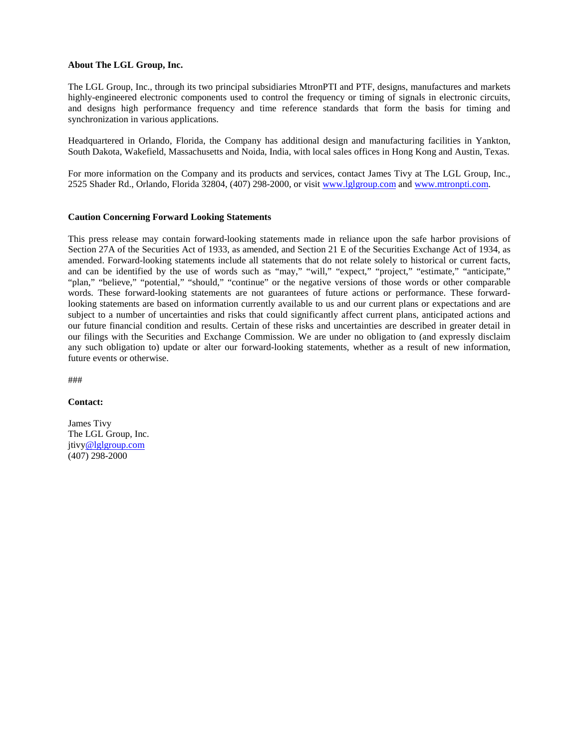#### **About The LGL Group, Inc.**

The LGL Group, Inc., through its two principal subsidiaries MtronPTI and PTF, designs, manufactures and markets highly-engineered electronic components used to control the frequency or timing of signals in electronic circuits, and designs high performance frequency and time reference standards that form the basis for timing and synchronization in various applications.

Headquartered in Orlando, Florida, the Company has additional design and manufacturing facilities in Yankton, South Dakota, Wakefield, Massachusetts and Noida, India, with local sales offices in Hong Kong and Austin, Texas.

For more information on the Company and its products and services, contact James Tivy at The LGL Group, Inc., 2525 Shader Rd., Orlando, Florida 32804, (407) 298-2000, or visit [www.lglgroup.com](http://www.lglgroup.com/) and [www.mtronpti.com.](http://www.mtronpti.com/)

#### **Caution Concerning Forward Looking Statements**

This press release may contain forward-looking statements made in reliance upon the safe harbor provisions of Section 27A of the Securities Act of 1933, as amended, and Section 21 E of the Securities Exchange Act of 1934, as amended. Forward-looking statements include all statements that do not relate solely to historical or current facts, and can be identified by the use of words such as "may," "will," "expect," "project," "estimate," "anticipate," "plan," "believe," "potential," "should," "continue" or the negative versions of those words or other comparable words. These forward-looking statements are not guarantees of future actions or performance. These forwardlooking statements are based on information currently available to us and our current plans or expectations and are subject to a number of uncertainties and risks that could significantly affect current plans, anticipated actions and our future financial condition and results. Certain of these risks and uncertainties are described in greater detail in our filings with the Securities and Exchange Commission. We are under no obligation to (and expressly disclaim any such obligation to) update or alter our forward-looking statements, whether as a result of new information, future events or otherwise.

###

#### **Contact:**

James Tivy The LGL Group, Inc. jtiv[y@lglgroup.com](mailto:pasmith@lglgroup.com) (407) 298-2000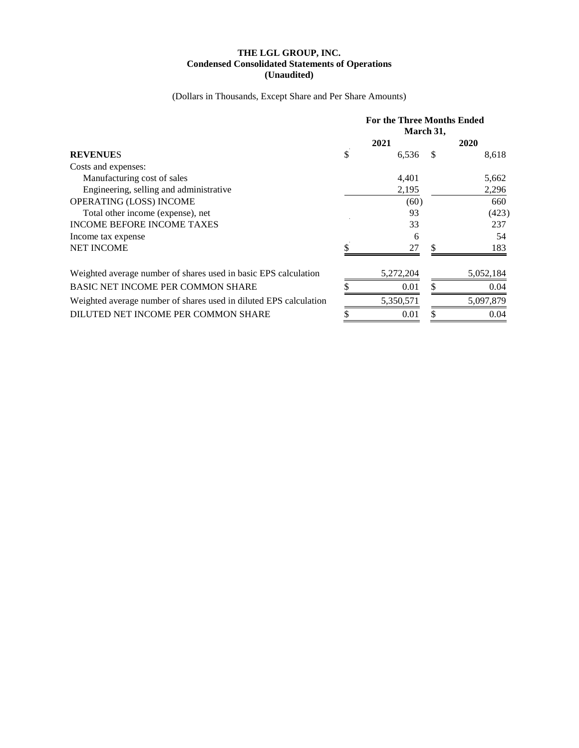### **THE LGL GROUP, INC. Condensed Consolidated Statements of Operations (Unaudited)**

(Dollars in Thousands, Except Share and Per Share Amounts)

|                                                                   | <b>For the Three Months Ended</b><br>March 31, |           |      |           |
|-------------------------------------------------------------------|------------------------------------------------|-----------|------|-----------|
| <b>REVENUES</b>                                                   | 2021                                           |           | 2020 |           |
|                                                                   | \$                                             | 6,536     | \$   | 8,618     |
| Costs and expenses:                                               |                                                |           |      |           |
| Manufacturing cost of sales                                       |                                                | 4,401     |      | 5,662     |
| Engineering, selling and administrative                           |                                                | 2,195     |      | 2,296     |
| OPERATING (LOSS) INCOME                                           |                                                | (60)      |      | 660       |
| Total other income (expense), net                                 |                                                | 93        |      | (423)     |
| <b>INCOME BEFORE INCOME TAXES</b>                                 |                                                | 33        |      | 237       |
| Income tax expense                                                |                                                | 6         |      | 54        |
| <b>NET INCOME</b>                                                 |                                                | 27        | \$   | 183       |
| Weighted average number of shares used in basic EPS calculation   |                                                | 5,272,204 |      | 5,052,184 |
| <b>BASIC NET INCOME PER COMMON SHARE</b>                          |                                                | 0.01      | \$   | 0.04      |
| Weighted average number of shares used in diluted EPS calculation |                                                | 5,350,571 |      | 5,097,879 |
| DILUTED NET INCOME PER COMMON SHARE                               |                                                | 0.01      | \$   | 0.04      |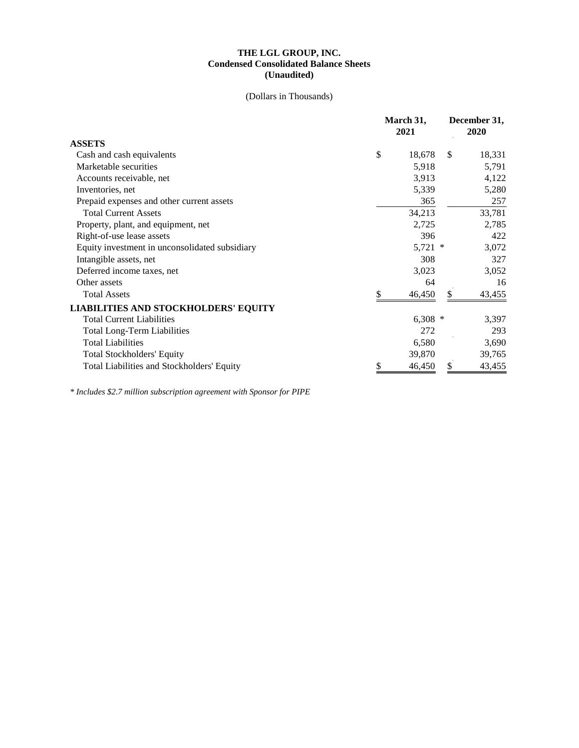## **THE LGL GROUP, INC. Condensed Consolidated Balance Sheets (Unaudited)**

## (Dollars in Thousands)

|                                                | March 31,<br>2021 |               | December 31,<br>2020 |  |
|------------------------------------------------|-------------------|---------------|----------------------|--|
| <b>ASSETS</b>                                  |                   |               |                      |  |
| Cash and cash equivalents                      | \$<br>18,678      | <sup>\$</sup> | 18,331               |  |
| Marketable securities                          | 5,918             |               | 5,791                |  |
| Accounts receivable, net                       | 3,913             |               | 4,122                |  |
| Inventories, net                               | 5,339             |               | 5,280                |  |
| Prepaid expenses and other current assets      | 365               |               | 257                  |  |
| <b>Total Current Assets</b>                    | 34,213            |               | 33,781               |  |
| Property, plant, and equipment, net            | 2,725             |               | 2,785                |  |
| Right-of-use lease assets                      | 396               |               | 422                  |  |
| Equity investment in unconsolidated subsidiary | $5,721$ *         |               | 3,072                |  |
| Intangible assets, net                         | 308               |               | 327                  |  |
| Deferred income taxes, net                     | 3,023             |               | 3,052                |  |
| Other assets                                   | 64                |               | 16                   |  |
| <b>Total Assets</b>                            | \$<br>46,450      | \$            | 43,455               |  |
| <b>LIABILITIES AND STOCKHOLDERS' EQUITY</b>    |                   |               |                      |  |
| <b>Total Current Liabilities</b>               | $6,308$ *         |               | 3,397                |  |
| <b>Total Long-Term Liabilities</b>             | 272               |               | 293                  |  |
| <b>Total Liabilities</b>                       | 6,580             |               | 3,690                |  |
| <b>Total Stockholders' Equity</b>              | 39,870            |               | 39,765               |  |
| Total Liabilities and Stockholders' Equity     | \$<br>46,450      | \$            | 43,455               |  |

*\* Includes \$2.7 million subscription agreement with Sponsor for PIPE*